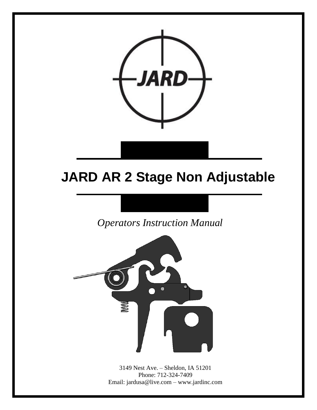

## **JARD AR 2 Stage Non Adjustable**

*Operators Instruction Manual* 



3149 Nest Ave. – Sheldon, IA 51201 Phone: 712-324-7409 Email: jardusa@live.com – www.jardinc.com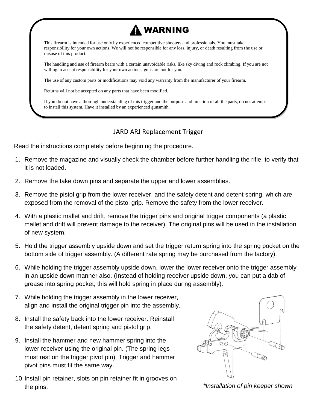

The use of any custom parts or modifications may void any warranty from the manufacturer of your firearm.

Returns will not be accepted on any parts that have been modified.

If you do not have a thorough understanding of this trigger and the purpose and function of all the parts, do not attempt to install this system. Have it installed by an experienced gunsmith.

## JARD ARJ Replacement Trigger

Read the instructions completely before beginning the procedure.

- 1. Remove the magazine and visually check the chamber before further handling the rifle, to verify that it is not loaded.
- 2. Remove the take down pins and separate the upper and lower assemblies.
- 3. Remove the pistol grip from the lower receiver, and the safety detent and detent spring, which are exposed from the removal of the pistol grip. Remove the safety from the lower receiver.
- 4. With a plastic mallet and drift, remove the trigger pins and original trigger components (a plastic mallet and drift will prevent damage to the receiver). The original pins will be used in the installation of new system.
- 5. Hold the trigger assembly upside down and set the trigger return spring into the spring pocket on the bottom side of trigger assembly. (A different rate spring may be purchased from the factory).
- 6. While holding the trigger assembly upside down, lower the lower receiver onto the trigger assembly in an upside down manner also. (Instead of holding receiver upside down, you can put a dab of grease into spring pocket, this will hold spring in place during assembly).
- 7. While holding the trigger assembly in the lower receiver, align and install the original trigger pin into the assembly.
- 8. Install the safety back into the lower receiver. Reinstall the safety detent, detent spring and pistol grip.
- 9. Install the hammer and new hammer spring into the lower receiver using the original pin. (The spring legs must rest on the trigger pivot pin). Trigger and hammer pivot pins must fit the same way.
- 10.Install pin retainer, slots on pin retainer fit in grooves on the pins.



*\*Installation of pin keeper shown*